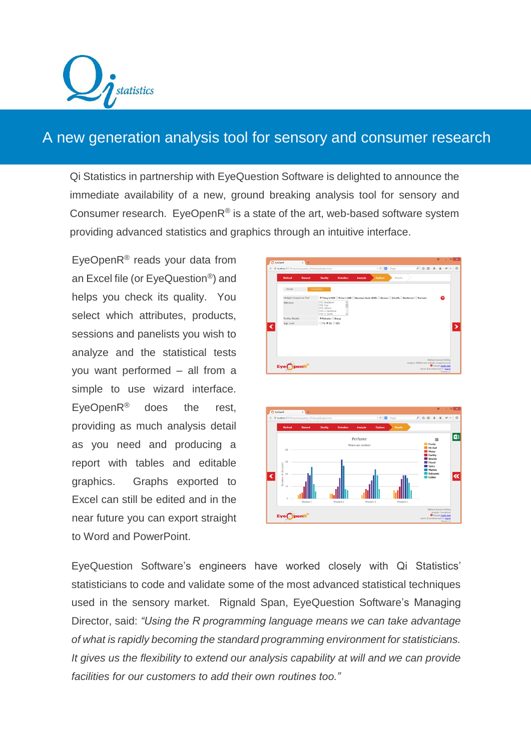

## A new generation analysis tool for sensory and consumer research

Qi Statistics in partnership with EyeQuestion Software is delighted to announce the immediate availability of a new, ground breaking analysis tool for sensory and Consumer research. EyeOpen $R^{\circledast}$  is a state of the art, web-based software system providing advanced statistics and graphics through an intuitive interface.

EyeOpenR® reads your data from an Excel file (or EyeQuestion®) and helps you check its quality. You select which attributes, products, sessions and panelists you wish to analyze and the statistical tests you want performed – all from a simple to use wizard interface. EyeOpenR® does the rest, providing as much analysis detail as you need and producing a report with tables and editable graphics. Graphs exported to Excel can still be edited and in the near future you can export straight to Word and PowerPoint.

|   |                                   | E @ localhost/EQ314/report/eyeopener_v2/index.jsp?project=true |                                                                          |                  |                 | $\triangledown$ C' $\blacksquare$ - Google                                                  |         |  | A ↓ 自 ☆                                        |                           |   | $\mathcal{L}$ | $ \equiv$ |
|---|-----------------------------------|----------------------------------------------------------------|--------------------------------------------------------------------------|------------------|-----------------|---------------------------------------------------------------------------------------------|---------|--|------------------------------------------------|---------------------------|---|---------------|-----------|
|   | Method                            | <b>Dataset</b>                                                 | Quality                                                                  | <b>Selection</b> | <b>Analysis</b> | <b>Options</b>                                                                              | Results |  |                                                |                           |   |               |           |
|   | Model                             |                                                                | Comparison                                                               |                  |                 |                                                                                             |         |  |                                                |                           |   |               |           |
|   | Multiple Comparison Test'         |                                                                |                                                                          |                  |                 | ® Tukey's HSD ○ Fisher's LSD ○ Newman-Keuls (SNK) ○ Duncan ○ Scheffe ○ Bonferroni ○ Dunnett |         |  |                                                |                           | ଵ |               |           |
|   | Reference                         |                                                                | P01 Braeburn<br>PO2 Fuji<br>PO3 Gibson<br>PO4 G Delicious<br>POS G Smith | $\mathbf{v}$     |                 |                                                                                             |         |  |                                                |                           |   |               |           |
|   | <b>Posthoc Results</b>            |                                                                | <sup>●</sup> Pairwise ○ Group                                            |                  |                 |                                                                                             |         |  |                                                |                           |   |               |           |
|   | Sign. Level                       |                                                                | $0.1\%$ $\otimes$ 5% $0.10\%$                                            |                  |                 |                                                                                             |         |  |                                                |                           |   |               |           |
| ⋖ |                                   |                                                                |                                                                          |                  |                 |                                                                                             |         |  |                                                |                           |   |               |           |
|   |                                   |                                                                |                                                                          |                  |                 |                                                                                             |         |  |                                                |                           |   |               |           |
|   |                                   |                                                                |                                                                          |                  |                 |                                                                                             |         |  |                                                |                           |   |               |           |
|   |                                   |                                                                |                                                                          |                  |                 |                                                                                             |         |  |                                                |                           |   |               |           |
|   |                                   |                                                                |                                                                          |                  |                 |                                                                                             |         |  |                                                |                           |   |               |           |
|   |                                   |                                                                |                                                                          |                  |                 |                                                                                             |         |  |                                                |                           |   |               |           |
|   |                                   |                                                                |                                                                          |                  |                 |                                                                                             |         |  | Analysis: ANOVA with multiple comparison tests | Method: Sensory Profiling |   |               |           |
|   | $Eye \bigodot p$ enR <sup>®</sup> |                                                                |                                                                          |                  |                 |                                                                                             |         |  |                                                | O Dataset: Apple data     |   |               |           |
|   |                                   |                                                                |                                                                          |                  |                 |                                                                                             |         |  | admin @ localhost/eq314   logout               |                           |   | Version 2.3   |           |



EyeQuestion Software's engineers have worked closely with Qi Statistics' statisticians to code and validate some of the most advanced statistical techniques used in the sensory market. Rignald Span, EyeQuestion Software's Managing Director, said: *"Using the R programming language means we can take advantage of what is rapidly becoming the standard programming environment for statisticians. It gives us the flexibility to extend our analysis capability at will and we can provide facilities for our customers to add their own routines too."*